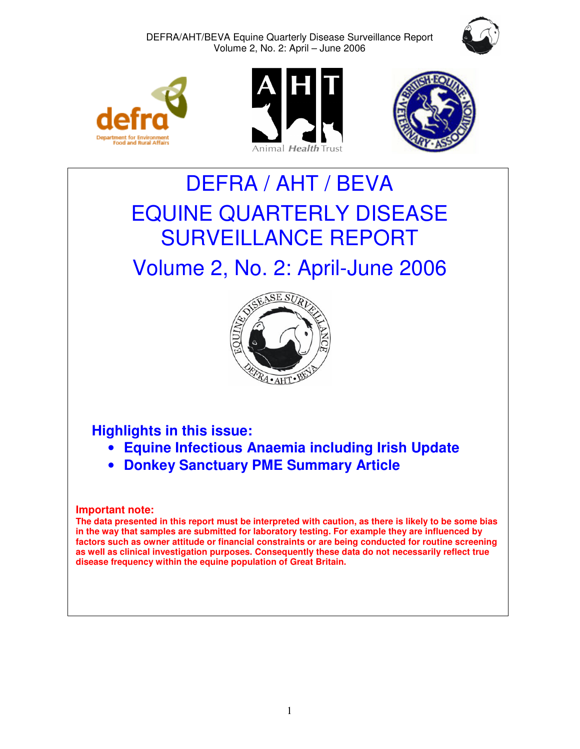







# DEFRA / AHT / BEVA EQUINE QUARTERLY DISEASE SURVEILLANCE REPORT Volume 2, No. 2: April-June 2006



# **Highlights in this issue:**

- **Equine Infectious Anaemia including Irish Update**
- **Donkey Sanctuary PME Summary Article**

# **Important note:**

**The data presented in this report must be interpreted with caution, as there is likely to be some bias in the way that samples are submitted for laboratory testing. For example they are influenced by factors such as owner attitude or financial constraints or are being conducted for routine screening as well as clinical investigation purposes. Consequently these data do not necessarily reflect true disease frequency within the equine population of Great Britain.**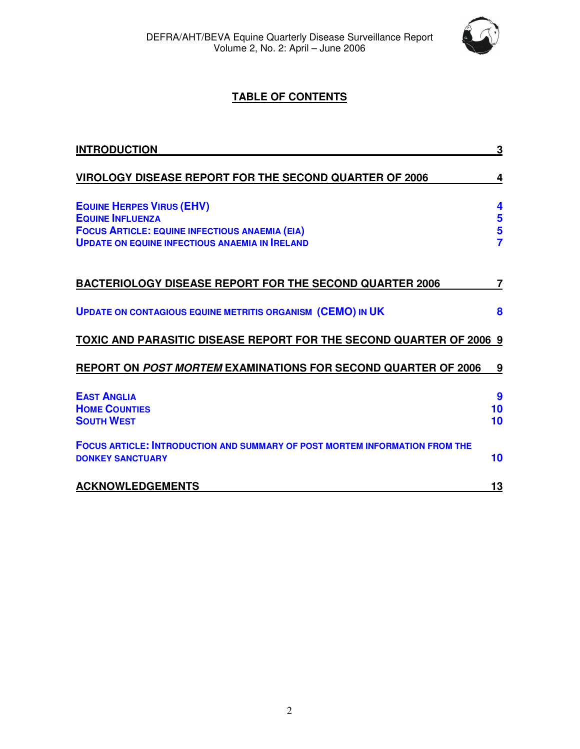

# **TABLE OF CONTENTS**

| <b>INTRODUCTION</b>                                                                                                                                                           | 3                     |
|-------------------------------------------------------------------------------------------------------------------------------------------------------------------------------|-----------------------|
| <b>VIROLOGY DISEASE REPORT FOR THE SECOND QUARTER OF 2006</b>                                                                                                                 | 4                     |
| <b>EQUINE HERPES VIRUS (EHV)</b><br><b>EQUINE INFLUENZA</b><br><b>FOCUS ARTICLE: EQUINE INFECTIOUS ANAEMIA (EIA)</b><br><b>UPDATE ON EQUINE INFECTIOUS ANAEMIA IN IRELAND</b> | 4<br>5<br>$rac{5}{7}$ |
| <b>BACTERIOLOGY DISEASE REPORT FOR THE SECOND QUARTER 2006</b>                                                                                                                | 7                     |
| <b>UPDATE ON CONTAGIOUS EQUINE METRITIS ORGANISM (CEMO) IN UK</b>                                                                                                             | 8                     |
| <b>TOXIC AND PARASITIC DISEASE REPORT FOR THE SECOND QUARTER OF 2006 9</b>                                                                                                    |                       |
| <b>REPORT ON POST MORTEM EXAMINATIONS FOR SECOND QUARTER OF 2006</b>                                                                                                          | 9                     |
| <b>EAST ANGLIA</b><br><b>HOME COUNTIES</b><br><b>SOUTH WEST</b>                                                                                                               | 9<br>10<br>10         |
| <b>FOCUS ARTICLE: INTRODUCTION AND SUMMARY OF POST MORTEM INFORMATION FROM THE</b><br><b>DONKEY SANCTUARY</b>                                                                 | 10                    |
| <b>ACKNOWLEDGEMENTS</b>                                                                                                                                                       | 13                    |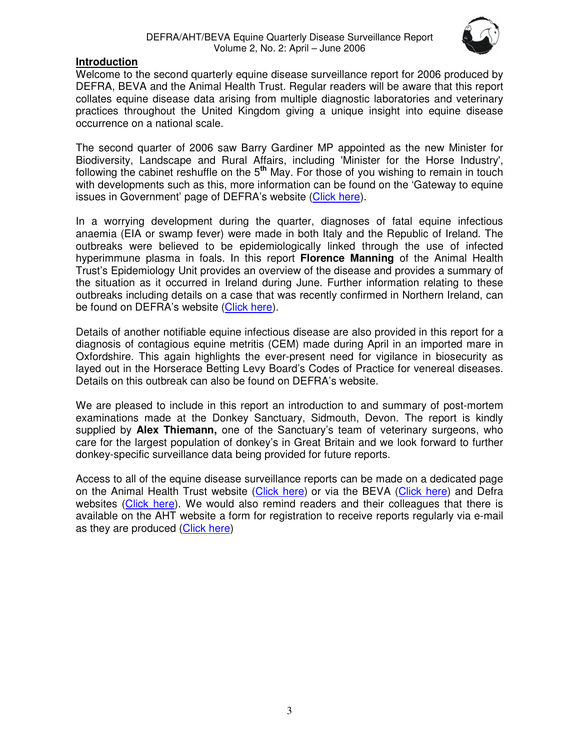

# **Introduction**

Welcome to the second quarterly equine disease surveillance report for 2006 produced by DEFRA, BEVA and the Animal Health Trust. Regular readers will be aware that this report collates equine disease data arising from multiple diagnostic laboratories and veterinary practices throughout the United Kingdom giving a unique insight into equine disease occurrence on a national scale.

The second quarter of 2006 saw Barry Gardiner MP appointed as the new Minister for Biodiversity, Landscape and Rural Affairs, including 'Minister for the Horse Industry', following the cabinet reshuffle on the 5**th** May. For those of you wishing to remain in touch with developments such as this, more information can be found on the 'Gateway to equine issues in Government' page of DEFRA's website (Click here).

In a worrying development during the quarter, diagnoses of fatal equine infectious anaemia (EIA or swamp fever) were made in both Italy and the Republic of Ireland. The outbreaks were believed to be epidemiologically linked through the use of infected hyperimmune plasma in foals. In this report **Florence Manning** of the Animal Health Trust's Epidemiology Unit provides an overview of the disease and provides a summary of the situation as it occurred in Ireland during June. Further information relating to these outbreaks including details on a case that was recently confirmed in Northern Ireland, can be found on DEFRA's website (Click here).

Details of another notifiable equine infectious disease are also provided in this report for a diagnosis of contagious equine metritis (CEM) made during April in an imported mare in Oxfordshire. This again highlights the ever-present need for vigilance in biosecurity as layed out in the Horserace Betting Levy Board's Codes of Practice for venereal diseases. Details on this outbreak can also be found on DEFRA's website.

We are pleased to include in this report an introduction to and summary of post-mortem examinations made at the Donkey Sanctuary, Sidmouth, Devon. The report is kindly supplied by **Alex Thiemann,** one of the Sanctuary's team of veterinary surgeons, who care for the largest population of donkey's in Great Britain and we look forward to further donkey-specific surveillance data being provided for future reports.

Access to all of the equine disease surveillance reports can be made on a dedicated page on the Animal Health Trust website (Click here) or via the BEVA (Click here) and Defra websites (Click here). We would also remind readers and their colleagues that there is available on the AHT website a form for registration to receive reports regularly via e-mail as they are produced (Click here)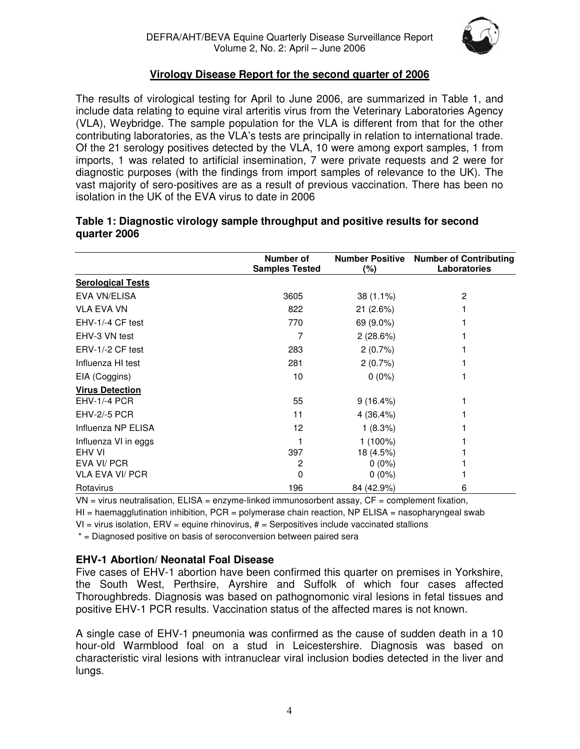

# **Virology Disease Report for the second quarter of 2006**

The results of virological testing for April to June 2006, are summarized in Table 1, and include data relating to equine viral arteritis virus from the Veterinary Laboratories Agency (VLA), Weybridge. The sample population for the VLA is different from that for the other contributing laboratories, as the VLA's tests are principally in relation to international trade. Of the 21 serology positives detected by the VLA, 10 were among export samples, 1 from imports, 1 was related to artificial insemination, 7 were private requests and 2 were for diagnostic purposes (with the findings from import samples of relevance to the UK). The vast majority of sero-positives are as a result of previous vaccination. There has been no isolation in the UK of the EVA virus to date in 2006

|                          | Number of<br><b>Samples Tested</b> | <b>Number Positive</b><br>(%) | <b>Number of Contributing</b><br>Laboratories |
|--------------------------|------------------------------------|-------------------------------|-----------------------------------------------|
| <b>Serological Tests</b> |                                    |                               |                                               |
| EVA VN/ELISA             | 3605                               | $38(1.1\%)$                   | 2                                             |
| <b>VLA EVA VN</b>        | 822                                | 21(2.6%)                      |                                               |
| EHV-1/-4 CF test         | 770                                | 69 (9.0%)                     |                                               |
| EHV-3 VN test            |                                    | 2(28.6%)                      |                                               |
| ERV-1/-2 CF test         | 283                                | 2(0.7%)                       |                                               |
| Influenza HI test        | 281                                | 2(0.7%)                       |                                               |
| EIA (Coggins)            | 10                                 | $0(0\%)$                      |                                               |
| <b>Virus Detection</b>   |                                    |                               |                                               |
| <b>EHV-1/-4 PCR</b>      | 55                                 | $9(16.4\%)$                   |                                               |
| <b>EHV-2/-5 PCR</b>      | 11                                 | 4 (36.4%)                     |                                               |
| Influenza NP ELISA       | 12                                 | 1(8.3%)                       |                                               |
| Influenza VI in eggs     |                                    | $1(100\%)$                    |                                               |
| EHV VI                   | 397                                | 18 (4.5%)                     |                                               |
| EVA VI/ PCR              | 2                                  | $0(0\%)$                      |                                               |
| VLA EVA VI/ PCR          | 0                                  | $0(0\%)$                      |                                               |
| Rotavirus                | 196                                | 84 (42.9%)                    | 6                                             |

# **Table 1: Diagnostic virology sample throughput and positive results for second quarter 2006**

 $VN = virus$  neutralisation,  $ELISA = enzyme$ -linked immunosorbent assay,  $CF = complement$  fixation,

 $HI = haemagglutination inhibition$ , PCR = polymerase chain reaction, NP ELISA = nasopharyngeal swab

 $VI = virus$  isolation,  $ERV =$  equine rhinovirus,  $# =$  Serpositives include vaccinated stallions

\* = Diagnosed positive on basis of seroconversion between paired sera

# **EHV-1 Abortion/ Neonatal Foal Disease**

Five cases of EHV-1 abortion have been confirmed this quarter on premises in Yorkshire, the South West, Perthsire, Ayrshire and Suffolk of which four cases affected Thoroughbreds. Diagnosis was based on pathognomonic viral lesions in fetal tissues and positive EHV-1 PCR results. Vaccination status of the affected mares is not known.

A single case of EHV-1 pneumonia was confirmed as the cause of sudden death in a 10 hour-old Warmblood foal on a stud in Leicestershire. Diagnosis was based on characteristic viral lesions with intranuclear viral inclusion bodies detected in the liver and lungs.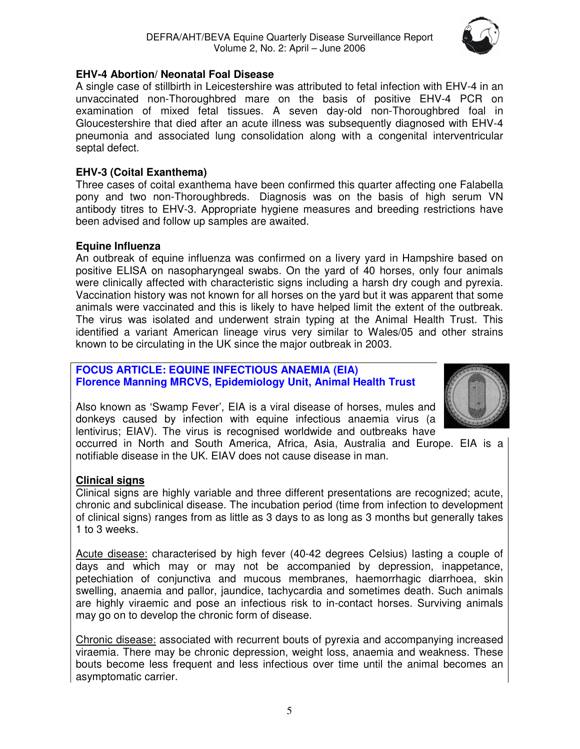

# **EHV-4 Abortion/ Neonatal Foal Disease**

A single case of stillbirth in Leicestershire was attributed to fetal infection with EHV-4 in an unvaccinated non-Thoroughbred mare on the basis of positive EHV-4 PCR on examination of mixed fetal tissues. A seven day-old non-Thoroughbred foal in Gloucestershire that died after an acute illness was subsequently diagnosed with EHV-4 pneumonia and associated lung consolidation along with a congenital interventricular septal defect.

# **EHV-3 (Coital Exanthema)**

Three cases of coital exanthema have been confirmed this quarter affecting one Falabella pony and two non-Thoroughbreds. Diagnosis was on the basis of high serum VN antibody titres to EHV-3. Appropriate hygiene measures and breeding restrictions have been advised and follow up samples are awaited.

# **Equine Influenza**

An outbreak of equine influenza was confirmed on a livery yard in Hampshire based on positive ELISA on nasopharyngeal swabs. On the yard of 40 horses, only four animals were clinically affected with characteristic signs including a harsh dry cough and pyrexia. Vaccination history was not known for all horses on the yard but it was apparent that some animals were vaccinated and this is likely to have helped limit the extent of the outbreak. The virus was isolated and underwent strain typing at the Animal Health Trust. This identified a variant American lineage virus very similar to Wales/05 and other strains known to be circulating in the UK since the major outbreak in 2003.

# **FOCUS ARTICLE: EQUINE INFECTIOUS ANAEMIA (EIA) Florence Manning MRCVS, Epidemiology Unit, Animal Health Trust**



Also known as 'Swamp Fever', EIA is a viral disease of horses, mules and donkeys caused by infection with equine infectious anaemia virus (a lentivirus; EIAV). The virus is recognised worldwide and outbreaks have

occurred in North and South America, Africa, Asia, Australia and Europe. EIA is a notifiable disease in the UK. EIAV does not cause disease in man.

# **Clinical signs**

Clinical signs are highly variable and three different presentations are recognized; acute, chronic and subclinical disease. The incubation period (time from infection to development of clinical signs) ranges from as little as 3 days to as long as 3 months but generally takes 1 to 3 weeks.

Acute disease: characterised by high fever (40-42 degrees Celsius) lasting a couple of days and which may or may not be accompanied by depression, inappetance, petechiation of conjunctiva and mucous membranes, haemorrhagic diarrhoea, skin swelling, anaemia and pallor, jaundice, tachycardia and sometimes death. Such animals are highly viraemic and pose an infectious risk to in-contact horses. Surviving animals may go on to develop the chronic form of disease.

Chronic disease: associated with recurrent bouts of pyrexia and accompanying increased viraemia. There may be chronic depression, weight loss, anaemia and weakness. These bouts become less frequent and less infectious over time until the animal becomes an asymptomatic carrier.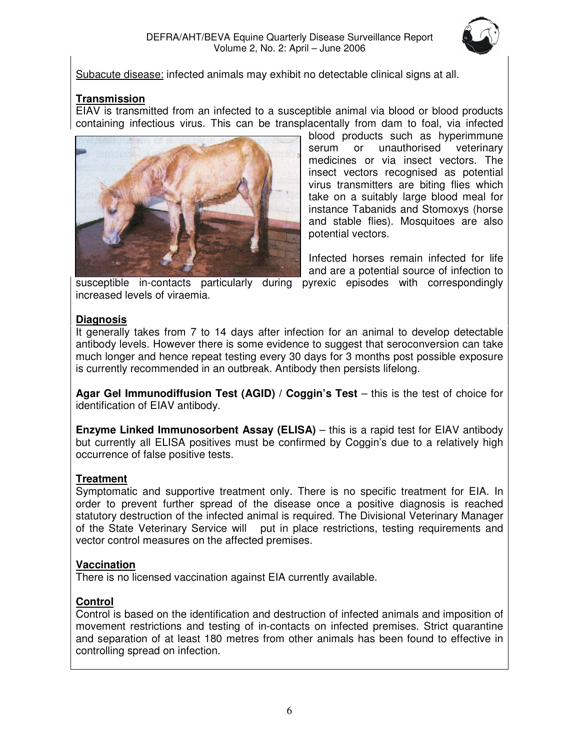

Subacute disease: infected animals may exhibit no detectable clinical signs at all.

# **Transmission**

EIAV is transmitted from an infected to a susceptible animal via blood or blood products containing infectious virus. This can be transplacentally from dam to foal, via infected



blood products such as hyperimmune serum or unauthorised veterinary medicines or via insect vectors. The insect vectors recognised as potential virus transmitters are biting flies which take on a suitably large blood meal for instance Tabanids and Stomoxys (horse and stable flies). Mosquitoes are also potential vectors.

Infected horses remain infected for life and are a potential source of infection to

susceptible in-contacts particularly during pyrexic episodes with correspondingly increased levels of viraemia.

# **Diagnosis**

It generally takes from 7 to 14 days after infection for an animal to develop detectable antibody levels. However there is some evidence to suggest that seroconversion can take much longer and hence repeat testing every 30 days for 3 months post possible exposure is currently recommended in an outbreak. Antibody then persists lifelong.

**Agar Gel Immunodiffusion Test (AGID) / Coggin's Test** – this is the test of choice for identification of EIAV antibody.

**Enzyme Linked Immunosorbent Assay (ELISA)** – this is a rapid test for EIAV antibody but currently all ELISA positives must be confirmed by Coggin's due to a relatively high occurrence of false positive tests.

# **Treatment**

Symptomatic and supportive treatment only. There is no specific treatment for EIA. In order to prevent further spread of the disease once a positive diagnosis is reached statutory destruction of the infected animal is required. The Divisional Veterinary Manager of the State Veterinary Service will put in place restrictions, testing requirements and vector control measures on the affected premises.

# **Vaccination**

There is no licensed vaccination against EIA currently available.

# **Control**

Control is based on the identification and destruction of infected animals and imposition of movement restrictions and testing of in-contacts on infected premises. Strict quarantine and separation of at least 180 metres from other animals has been found to effective in controlling spread on infection.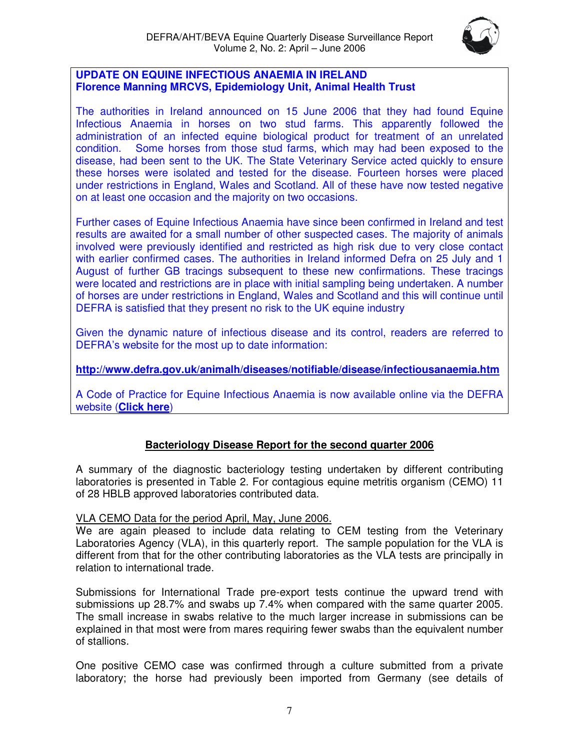

# **UPDATE ON EQUINE INFECTIOUS ANAEMIA IN IRELAND Florence Manning MRCVS, Epidemiology Unit, Animal Health Trust**

The authorities in Ireland announced on 15 June 2006 that they had found Equine Infectious Anaemia in horses on two stud farms. This apparently followed the administration of an infected equine biological product for treatment of an unrelated condition. Some horses from those stud farms, which may had been exposed to the disease, had been sent to the UK. The State Veterinary Service acted quickly to ensure these horses were isolated and tested for the disease. Fourteen horses were placed under restrictions in England, Wales and Scotland. All of these have now tested negative on at least one occasion and the majority on two occasions.

Further cases of Equine Infectious Anaemia have since been confirmed in Ireland and test results are awaited for a small number of other suspected cases. The majority of animals involved were previously identified and restricted as high risk due to very close contact with earlier confirmed cases. The authorities in Ireland informed Defra on 25 July and 1 August of further GB tracings subsequent to these new confirmations. These tracings were located and restrictions are in place with initial sampling being undertaken. A number of horses are under restrictions in England, Wales and Scotland and this will continue until DEFRA is satisfied that they present no risk to the UK equine industry

Given the dynamic nature of infectious disease and its control, readers are referred to DEFRA's website for the most up to date information:

**http://www.defra.gov.uk/animalh/diseases/notifiable/disease/infectiousanaemia.htm**

A Code of Practice for Equine Infectious Anaemia is now available online via the DEFRA website (**Click here**)

# **Bacteriology Disease Report for the second quarter 2006**

A summary of the diagnostic bacteriology testing undertaken by different contributing laboratories is presented in Table 2. For contagious equine metritis organism (CEMO) 11 of 28 HBLB approved laboratories contributed data.

# VLA CEMO Data for the period April, May, June 2006.

We are again pleased to include data relating to CEM testing from the Veterinary Laboratories Agency (VLA), in this quarterly report. The sample population for the VLA is different from that for the other contributing laboratories as the VLA tests are principally in relation to international trade.

Submissions for International Trade pre-export tests continue the upward trend with submissions up 28.7% and swabs up 7.4% when compared with the same quarter 2005. The small increase in swabs relative to the much larger increase in submissions can be explained in that most were from mares requiring fewer swabs than the equivalent number of stallions.

One positive CEMO case was confirmed through a culture submitted from a private laboratory; the horse had previously been imported from Germany (see details of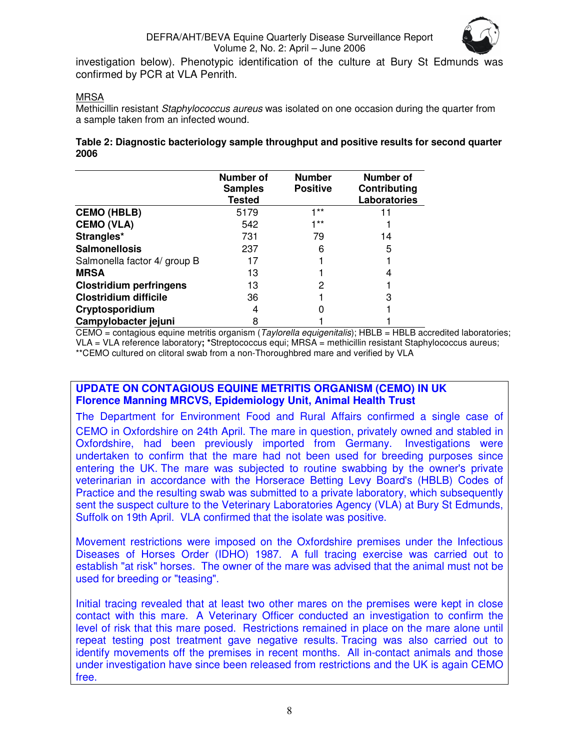

investigation below). Phenotypic identification of the culture at Bury St Edmunds was confirmed by PCR at VLA Penrith.

# **MRSA**

Methicillin resistant Staphylococcus aureus was isolated on one occasion during the quarter from a sample taken from an infected wound.

#### **Table 2: Diagnostic bacteriology sample throughput and positive results for second quarter 2006**

|                                | Number of<br><b>Samples</b><br><b>Tested</b> | <b>Number</b><br><b>Positive</b> | Number of<br>Contributing<br>Laboratories |
|--------------------------------|----------------------------------------------|----------------------------------|-------------------------------------------|
| <b>CEMO (HBLB)</b>             | 5179                                         | $1**$                            | 11                                        |
| <b>CEMO (VLA)</b>              | 542                                          | $1**$                            |                                           |
| Strangles*                     | 731                                          | 79                               | 14                                        |
| <b>Salmonellosis</b>           | 237                                          | 6                                | 5                                         |
| Salmonella factor 4/ group B   | 17                                           |                                  |                                           |
| <b>MRSA</b>                    | 13                                           |                                  | 4                                         |
| <b>Clostridium perfringens</b> | 13                                           | 2                                |                                           |
| <b>Clostridium difficile</b>   | 36                                           |                                  | 3                                         |
| Cryptosporidium                | 4                                            |                                  |                                           |
| Campylobacter jejuni           | 8                                            |                                  |                                           |

CEMO = contagious equine metritis organism (Taylorella equigenitalis); HBLB = HBLB accredited laboratories; VLA = VLA reference laboratory**; \***Streptococcus equi; MRSA = methicillin resistant Staphylococcus aureus; \*\*CEMO cultured on clitoral swab from a non-Thoroughbred mare and verified by VLA

# **UPDATE ON CONTAGIOUS EQUINE METRITIS ORGANISM (CEMO) IN UK Florence Manning MRCVS, Epidemiology Unit, Animal Health Trust**

The Department for Environment Food and Rural Affairs confirmed a single case of CEMO in Oxfordshire on 24th April. The mare in question, privately owned and stabled in Oxfordshire, had been previously imported from Germany. Investigations were undertaken to confirm that the mare had not been used for breeding purposes since entering the UK. The mare was subjected to routine swabbing by the owner's private veterinarian in accordance with the Horserace Betting Levy Board's (HBLB) Codes of Practice and the resulting swab was submitted to a private laboratory, which subsequently sent the suspect culture to the Veterinary Laboratories Agency (VLA) at Bury St Edmunds, Suffolk on 19th April. VLA confirmed that the isolate was positive.

Movement restrictions were imposed on the Oxfordshire premises under the Infectious Diseases of Horses Order (IDHO) 1987. A full tracing exercise was carried out to establish "at risk" horses. The owner of the mare was advised that the animal must not be used for breeding or "teasing".

Initial tracing revealed that at least two other mares on the premises were kept in close contact with this mare. A Veterinary Officer conducted an investigation to confirm the level of risk that this mare posed. Restrictions remained in place on the mare alone until repeat testing post treatment gave negative results. Tracing was also carried out to identify movements off the premises in recent months. All in-contact animals and those under investigation have since been released from restrictions and the UK is again CEMO free.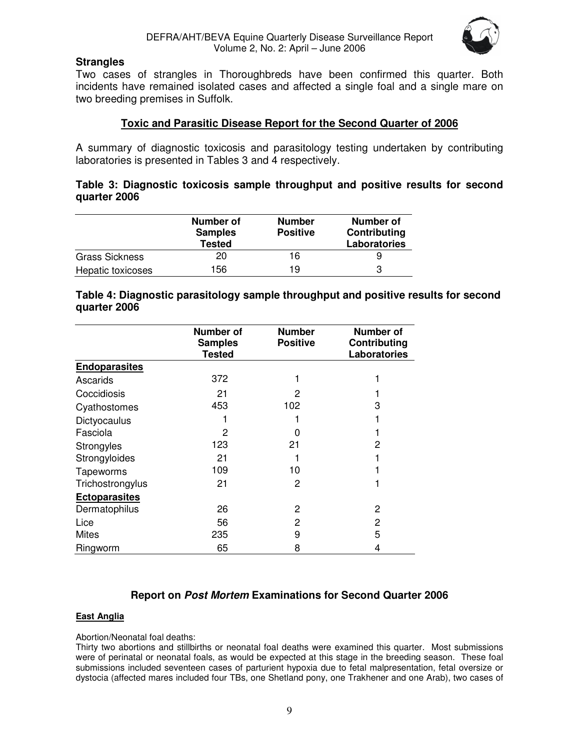

# **Strangles**

Two cases of strangles in Thoroughbreds have been confirmed this quarter. Both incidents have remained isolated cases and affected a single foal and a single mare on two breeding premises in Suffolk.

# **Toxic and Parasitic Disease Report for the Second Quarter of 2006**

A summary of diagnostic toxicosis and parasitology testing undertaken by contributing laboratories is presented in Tables 3 and 4 respectively.

# **Table 3: Diagnostic toxicosis sample throughput and positive results for second quarter 2006**

|                   | Number of<br><b>Samples</b><br><b>Tested</b> | <b>Number</b><br><b>Positive</b> | Number of<br>Contributing<br>Laboratories |
|-------------------|----------------------------------------------|----------------------------------|-------------------------------------------|
| Grass Sickness    | 20                                           | 16                               |                                           |
| Hepatic toxicoses | 156                                          | 19                               | 3                                         |

# **Table 4: Diagnostic parasitology sample throughput and positive results for second quarter 2006**

|                      | <b>Number of</b><br><b>Samples</b><br><b>Tested</b> | <b>Number</b><br><b>Positive</b> | Number of<br>Contributing<br>Laboratories |
|----------------------|-----------------------------------------------------|----------------------------------|-------------------------------------------|
| <b>Endoparasites</b> |                                                     |                                  |                                           |
| Ascarids             | 372                                                 |                                  |                                           |
| Coccidiosis          | 21                                                  | 2                                |                                           |
| Cyathostomes         | 453                                                 | 102                              | 3                                         |
| Dictyocaulus         |                                                     |                                  |                                           |
| Fasciola             | 2                                                   |                                  |                                           |
| Strongyles           | 123                                                 | 21                               | 2                                         |
| Strongyloides        | 21                                                  |                                  |                                           |
| Tapeworms            | 109                                                 | 10                               |                                           |
| Trichostrongylus     | 21                                                  | 2                                |                                           |
| <b>Ectoparasites</b> |                                                     |                                  |                                           |
| Dermatophilus        | 26                                                  | $\mathbf{2}$                     | 2                                         |
| Lice                 | 56                                                  | 2                                | 2                                         |
| <b>Mites</b>         | 235                                                 | 9                                | 5                                         |
| Ringworm             | 65                                                  | 8                                | 4                                         |

# **Report on Post Mortem Examinations for Second Quarter 2006**

#### **East Anglia**

#### Abortion/Neonatal foal deaths:

Thirty two abortions and stillbirths or neonatal foal deaths were examined this quarter. Most submissions were of perinatal or neonatal foals, as would be expected at this stage in the breeding season. These foal submissions included seventeen cases of parturient hypoxia due to fetal malpresentation, fetal oversize or dystocia (affected mares included four TBs, one Shetland pony, one Trakhener and one Arab), two cases of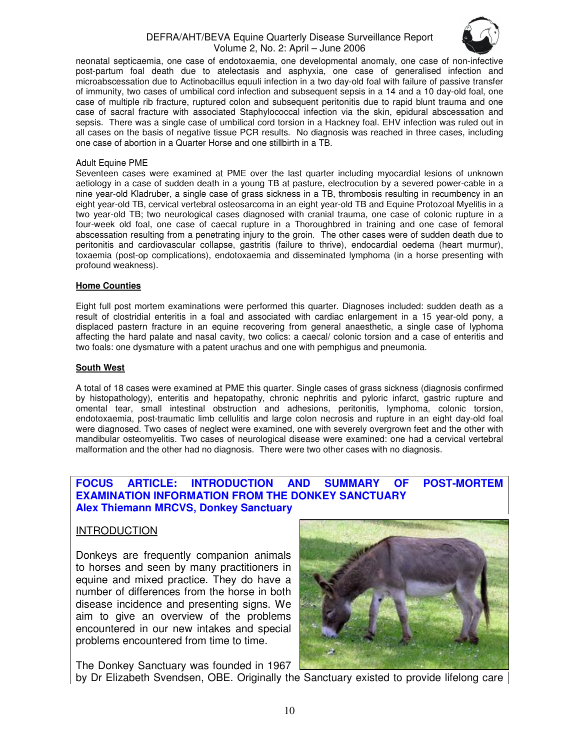#### DEFRA/AHT/BEVA Equine Quarterly Disease Surveillance Report Volume 2, No. 2: April – June 2006



neonatal septicaemia, one case of endotoxaemia, one developmental anomaly, one case of non-infective post-partum foal death due to atelectasis and asphyxia, one case of generalised infection and microabscessation due to Actinobacillus equuli infection in a two day-old foal with failure of passive transfer of immunity, two cases of umbilical cord infection and subsequent sepsis in a 14 and a 10 day-old foal, one case of multiple rib fracture, ruptured colon and subsequent peritonitis due to rapid blunt trauma and one case of sacral fracture with associated Staphylococcal infection via the skin, epidural abscessation and sepsis. There was a single case of umbilical cord torsion in a Hackney foal. EHV infection was ruled out in all cases on the basis of negative tissue PCR results. No diagnosis was reached in three cases, including one case of abortion in a Quarter Horse and one stillbirth in a TB.

#### Adult Equine PME

Seventeen cases were examined at PME over the last quarter including myocardial lesions of unknown aetiology in a case of sudden death in a young TB at pasture, electrocution by a severed power-cable in a nine year-old Kladruber, a single case of grass sickness in a TB, thrombosis resulting in recumbency in an eight year-old TB, cervical vertebral osteosarcoma in an eight year-old TB and Equine Protozoal Myelitis in a two year-old TB; two neurological cases diagnosed with cranial trauma, one case of colonic rupture in a four-week old foal, one case of caecal rupture in a Thoroughbred in training and one case of femoral abscessation resulting from a penetrating injury to the groin. The other cases were of sudden death due to peritonitis and cardiovascular collapse, gastritis (failure to thrive), endocardial oedema (heart murmur), toxaemia (post-op complications), endotoxaemia and disseminated lymphoma (in a horse presenting with profound weakness).

#### **Home Counties**

Eight full post mortem examinations were performed this quarter. Diagnoses included: sudden death as a result of clostridial enteritis in a foal and associated with cardiac enlargement in a 15 year-old pony, a displaced pastern fracture in an equine recovering from general anaesthetic, a single case of lyphoma affecting the hard palate and nasal cavity, two colics: a caecal/ colonic torsion and a case of enteritis and two foals: one dysmature with a patent urachus and one with pemphigus and pneumonia.

#### **South West**

A total of 18 cases were examined at PME this quarter. Single cases of grass sickness (diagnosis confirmed by histopathology), enteritis and hepatopathy, chronic nephritis and pyloric infarct, gastric rupture and omental tear, small intestinal obstruction and adhesions, peritonitis, lymphoma, colonic torsion, endotoxaemia, post-traumatic limb cellulitis and large colon necrosis and rupture in an eight day-old foal were diagnosed. Two cases of neglect were examined, one with severely overgrown feet and the other with mandibular osteomyelitis. Two cases of neurological disease were examined: one had a cervical vertebral malformation and the other had no diagnosis. There were two other cases with no diagnosis.

#### **FOCUS ARTICLE: INTRODUCTION AND SUMMARY OF POST-MORTEM EXAMINATION INFORMATION FROM THE DONKEY SANCTUARY Alex Thiemann MRCVS, Donkey Sanctuary**

#### INTRODUCTION

Donkeys are frequently companion animals to horses and seen by many practitioners in equine and mixed practice. They do have a number of differences from the horse in both disease incidence and presenting signs. We aim to give an overview of the problems encountered in our new intakes and special problems encountered from time to time.

The Donkey Sanctuary was founded in 1967



by Dr Elizabeth Svendsen, OBE. Originally the Sanctuary existed to provide lifelong care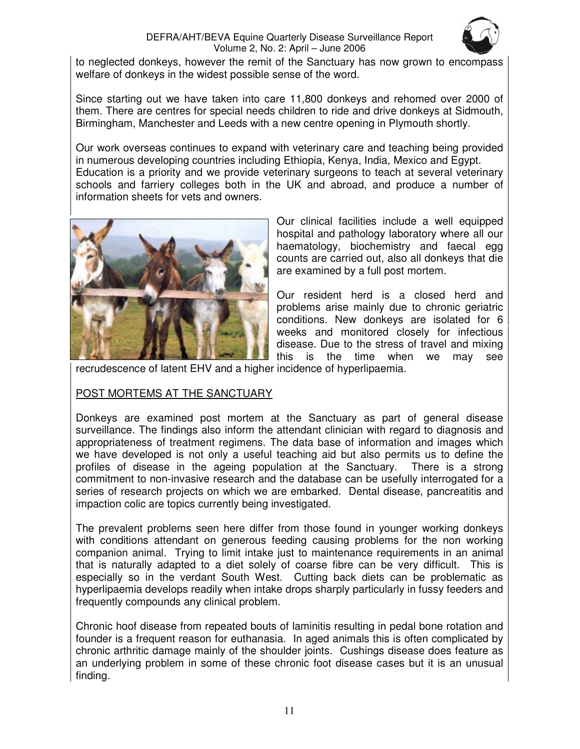# DEFRA/AHT/BEVA Equine Quarterly Disease Surveillance Report Volume 2, No. 2: April – June 2006



to neglected donkeys, however the remit of the Sanctuary has now grown to encompass welfare of donkeys in the widest possible sense of the word.

Since starting out we have taken into care 11,800 donkeys and rehomed over 2000 of them. There are centres for special needs children to ride and drive donkeys at Sidmouth, Birmingham, Manchester and Leeds with a new centre opening in Plymouth shortly.

Our work overseas continues to expand with veterinary care and teaching being provided in numerous developing countries including Ethiopia, Kenya, India, Mexico and Egypt. Education is a priority and we provide veterinary surgeons to teach at several veterinary schools and farriery colleges both in the UK and abroad, and produce a number of information sheets for vets and owners.



Our clinical facilities include a well equipped hospital and pathology laboratory where all our haematology, biochemistry and faecal egg counts are carried out, also all donkeys that die are examined by a full post mortem.

Our resident herd is a closed herd and problems arise mainly due to chronic geriatric conditions. New donkeys are isolated for 6 weeks and monitored closely for infectious disease. Due to the stress of travel and mixing this is the time when we may see

recrudescence of latent EHV and a higher incidence of hyperlipaemia.

# POST MORTEMS AT THE SANCTUARY

Donkeys are examined post mortem at the Sanctuary as part of general disease surveillance. The findings also inform the attendant clinician with regard to diagnosis and appropriateness of treatment regimens. The data base of information and images which we have developed is not only a useful teaching aid but also permits us to define the profiles of disease in the ageing population at the Sanctuary. There is a strong commitment to non-invasive research and the database can be usefully interrogated for a series of research projects on which we are embarked. Dental disease, pancreatitis and impaction colic are topics currently being investigated.

The prevalent problems seen here differ from those found in younger working donkeys with conditions attendant on generous feeding causing problems for the non working companion animal. Trying to limit intake just to maintenance requirements in an animal that is naturally adapted to a diet solely of coarse fibre can be very difficult. This is especially so in the verdant South West. Cutting back diets can be problematic as hyperlipaemia develops readily when intake drops sharply particularly in fussy feeders and frequently compounds any clinical problem.

Chronic hoof disease from repeated bouts of laminitis resulting in pedal bone rotation and founder is a frequent reason for euthanasia. In aged animals this is often complicated by chronic arthritic damage mainly of the shoulder joints. Cushings disease does feature as an underlying problem in some of these chronic foot disease cases but it is an unusual finding.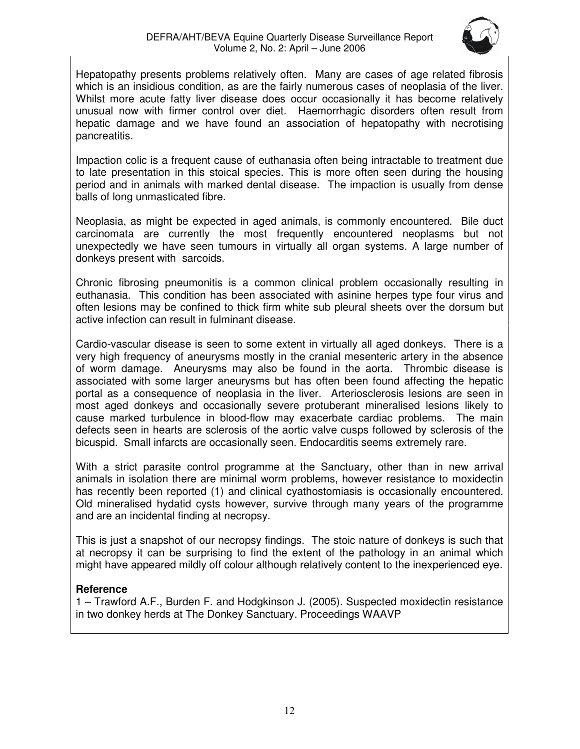

Hepatopathy presents problems relatively often. Many are cases of age related fibrosis which is an insidious condition, as are the fairly numerous cases of neoplasia of the liver. Whilst more acute fatty liver disease does occur occasionally it has become relatively unusual now with firmer control over diet. Haemorrhagic disorders often result from hepatic damage and we have found an association of hepatopathy with necrotising pancreatitis.

Impaction colic is a frequent cause of euthanasia often being intractable to treatment due to late presentation in this stoical species. This is more often seen during the housing period and in animals with marked dental disease. The impaction is usually from dense balls of long unmasticated fibre.

Neoplasia, as might be expected in aged animals, is commonly encountered. Bile duct carcinomata are currently the most frequently encountered neoplasms but not unexpectedly we have seen tumours in virtually all organ systems. A large number of donkeys present with sarcoids.

Chronic fibrosing pneumonitis is a common clinical problem occasionally resulting in euthanasia. This condition has been associated with asinine herpes type four virus and often lesions may be confined to thick firm white sub pleural sheets over the dorsum but active infection can result in fulminant disease.

Cardio-vascular disease is seen to some extent in virtually all aged donkeys. There is a very high frequency of aneurysms mostly in the cranial mesenteric artery in the absence of worm damage. Aneurysms may also be found in the aorta. Thrombic disease is associated with some larger aneurysms but has often been found affecting the hepatic portal as a consequence of neoplasia in the liver. Arteriosclerosis lesions are seen in most aged donkeys and occasionally severe protuberant mineralised lesions likely to cause marked turbulence in blood-flow may exacerbate cardiac problems. The main defects seen in hearts are sclerosis of the aortic valve cusps followed by sclerosis of the bicuspid. Small infarcts are occasionally seen. Endocarditis seems extremely rare.

With a strict parasite control programme at the Sanctuary, other than in new arrival animals in isolation there are minimal worm problems, however resistance to moxidectin has recently been reported (1) and clinical cyathostomiasis is occasionally encountered. Old mineralised hydatid cysts however, survive through many years of the programme and are an incidental finding at necropsy.

This is just a snapshot of our necropsy findings. The stoic nature of donkeys is such that at necropsy it can be surprising to find the extent of the pathology in an animal which might have appeared mildly off colour although relatively content to the inexperienced eye.

# **Reference**

1 – Trawford A.F., Burden F. and Hodgkinson J. (2005). Suspected moxidectin resistance in two donkey herds at The Donkey Sanctuary. Proceedings WAAVP